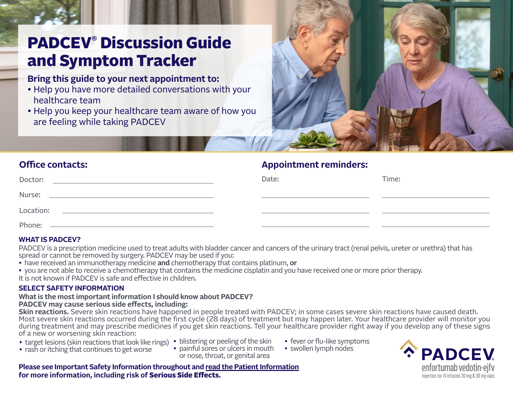# <span id="page-0-0"></span>PADCEV**®** Discussion Guide and Symptom Tracker

# **Bring this guide to your next appointment to:**

- Help you have more detailed conversations with your healthcare team
- Help you keep your healthcare team aware of how you are feeling while taking PADCEV



# **Office contacts: Appointment reminders:**

| Doctor:   | Date: | Time: |
|-----------|-------|-------|
| Nurse:    |       |       |
| Location: |       |       |
| Phone:    |       |       |

# **WHAT IS PADCEV?**

PADCEV is a prescription medicine used to treat adults with bladder cancer and cancers of the urinary tract (renal pelvis, ureter or urethra) that has spread or cannot be removed by surgery. PADCEV may be used if you:

• have received an immunotherapy medicine **and** chemotherapy that contains platinum, **or**

• you are not able to receive a chemotherapy that contains the medicine cisplatin and you have received one or more prior therapy.

It is not known if PADCEV is safe and effective in children.

# **SELECT SAFETY INFORMATION**

#### **What is the most important information I should know about PADCEV? PADCEV may cause serious side effects, including:**

**Skin reactions.** Severe skin reactions have happened in people treated with PADCEV; in some cases severe skin reactions have caused death. Most severe skin reactions occurred during the first cycle (28 days) of treatment but may happen later. Your healthcare provider will monitor you during treatment and may prescribe medicines if you get skin reactions. Tell your healthcare provider right away if you develop any of these signs of a new or worsening skin reaction:

- target lesions (skin reactions that look like rings) blistering or peeling of the skin
- rash or itching that continues to get worse
- 
- painful sores or ulcers in mouth or nose, throat, or genital area
- fever or flu-like symptoms
- swollen lymph nodes

**PADCEV** enfortumab vedotin-ejfv Injection for IV infusion 20 mg & 30 mg vials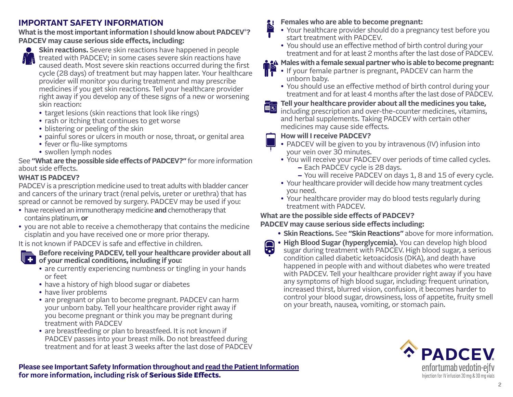# <span id="page-1-0"></span>**IMPORTANT SAFETY INFORMATION**

**What is the most important information I should know about PADCEV® ? PADCEV may cause serious side effects, including:**

**Skin reactions.** Severe skin reactions have happened in people treated with PADCEV; in some cases severe skin reactions have caused death. Most severe skin reactions occurred during the first cycle (28 days) of treatment but may happen later. Your healthcare provider will monitor you during treatment and may prescribe medicines if you get skin reactions. Tell your healthcare provider right away if you develop any of these signs of a new or worsening skin reaction:

- target lesions (skin reactions that look like rings)
- rash or itching that continues to get worse
- blistering or peeling of the skin
- painful sores or ulcers in mouth or nose, throat, or genital area
- fever or flu-like symptoms
- swollen lymph nodes

See **"What are the possible side effects of PADCEV?"** for more information about side effects.

# **WHAT IS PADCEV?**

PADCEV is a prescription medicine used to treat adults with bladder cancer and cancers of the urinary tract (renal pelvis, ureter or urethra) that has spread or cannot be removed by surgery. PADCEV may be used if you:

- have received an immunotherapy medicine **and** chemotherapy that contains platinum, **or**
- you are not able to receive a chemotherapy that contains the medicine cisplatin and you have received one or more prior therapy.

It is not known if PADCEV is safe and effective in children.



**Before receiving PADCEV, tell your healthcare provider about all ULP** of your medical conditions, including if you:

- are currently experiencing numbness or tingling in your hands or feet
- have a history of high blood sugar or diabetes
- have liver problems
- are pregnant or plan to become pregnant. PADCEV can harm your unborn baby. Tell your healthcare provider right away if you become pregnant or think you may be pregnant during treatment with PADCEV
- are breastfeeding or plan to breastfeed. It is not known if PADCEV passes into your breast milk. Do not breastfeed during treatment and for at least 3 weeks after the last dose of PADCEV

# **Females who are able to become pregnant:**

- Your healthcare provider should do a pregnancy test before you start treatment with PADCEV.
- You should use an effective method of birth control during your treatment and for at least 2 months after the last dose of PADCEV.

# **Males with a female sexual partner who is able to become pregnant:**

- If your female partner is pregnant, PADCEV can harm the unborn baby.
	- You should use an effective method of birth control during your treatment and for at least 4 months after the last dose of PADCEV.

# **Tell your healthcare provider about all the medicines you take,**

including prescription and over-the-counter medicines, vitamins, and herbal supplements. Taking PADCEV with certain other medicines may cause side effects.

# **How will I receive PADCEV?**

- PADCEV will be given to you by intravenous (IV) infusion into your vein over 30 minutes.
- You will receive your PADCEV over periods of time called cycles. **–** Each PADCEV cycle is 28 days.
	- **–** You will receive PADCEV on days 1, 8 and 15 of every cycle.
- Your healthcare provider will decide how many treatment cycles you need.
- Your healthcare provider may do blood tests regularly during treatment with PADCEV.

# **What are the possible side effects of PADCEV?**

# **PADCEV may cause serious side effects including:**

- **• Skin Reactions.** See **"Skin Reactions"** above for more information.
- **• High Blood Sugar (hyperglycemia).** You can develop high blood sugar during treatment with PADCEV. High blood sugar, a serious condition called diabetic ketoacidosis (DKA), and death have happened in people with and without diabetes who were treated with PADCEV. Tell your healthcare provider right away if you have any symptoms of high blood sugar, including: frequent urination, increased thirst, blurred vision, confusion, it becomes harder to control your blood sugar, drowsiness, loss of appetite, fruity smell on your breath, nausea, vomiting, or stomach pain.

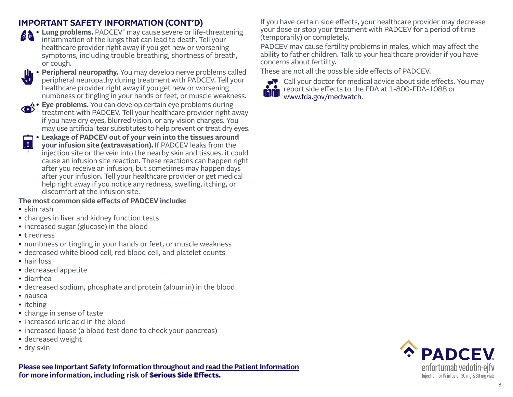# <span id="page-2-0"></span>**IMPORTANT SAFETY INFORMATION (CONT'D)**

**•• Lung problems.** PADCEV® may cause severe or life-threatening<br>inflammation of the lungs that inflammation of the lungs that can lead to death. Tell your healthcare provider right away if you get new or worsening symptoms, including trouble breathing, shortness of breath, or cough.



**• Eye problems.** You can develop certain eye problems during treatment with PADCEV. Tell your healthcare provider right away if you have dry eyes, blurred vision, or any vision changes. You may use artificial tear substitutes to help prevent or treat dry eyes.

**• Leakage of PADCEV out of your vein into the tissues around your infusion site (extravasation).** If PADCEV leaks from the injection site or the vein into the nearby skin and tissues, it could cause an infusion site reaction. These reactions can happen right after you receive an infusion, but sometimes may happen days after your infusion. Tell your healthcare provider or get medical help right away if you notice any redness, swelling, itching, or discomfort at the infusion site. **!**

#### **The most common side effects of PADCEV include:**

- skin rash
- changes in liver and kidney function tests
- increased sugar (glucose) in the blood
- tiredness
- numbness or tingling in your hands or feet, or muscle weakness
- decreased white blood cell, red blood cell, and platelet counts
- hair loss
- decreased appetite
- diarrhea
- decreased sodium, phosphate and protein (albumin) in the blood
- nausea
- itching
- change in sense of taste
- increased uric acid in the blood
- increased lipase (a blood test done to check your pancreas)
- decreased weight
- dry skin

**[Please see Important Safety Information throughout and read the Patient Information](#page-3-0) for more information, including risk of** Serious Side Effects**.**

If you have certain side effects, your healthcare provider may decrease your dose or stop your treatment with PADCEV for a period of time (temporarily) or completely.

PADCEV may cause fertility problems in males, which may affect the ability to father children. Talk to your healthcare provider if you have concerns about fertility.

These are not all the possible side effects of PADCEV.



Call your doctor for medical advice about side effects. You may report side effects to the FDA at 1-800-FDA-1088 or [www.fda.gov/medwatch.](http://www.fda.gov/medwatch)

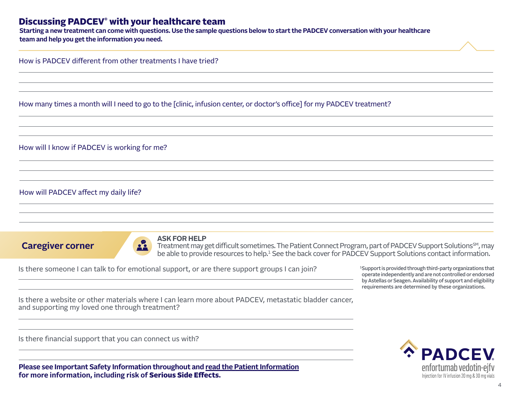# <span id="page-3-0"></span>Discussing PADCEV® with your healthcare team

**[Starting a new treatment can come with questions. Use the sample questions below to start the PADCEV conversation with your healthcare](#page-4-0)  team and help you get the information you need.** 

How is PADCEV different from other treatments I have tried?

How many times a month will I need to go to the [clinic, infusion center, or doctor's office] for my PADCEV treatment?

How will I know if PADCEV is working for me?

How will PADCEV affect my daily life?

**Caregiver corner**



#### **ASK FOR HELP**

Treatment may get difficult sometimes. The Patient Connect Program, part of PADCEV Support Solutions<sup>SM</sup>, may be able to provide resources to help.<sup>1</sup> See the back cover for PADCEV Support Solutions contact information.

Is there someone I can talk to for emotional support, or are there support groups I can join?

1Support is provided through third-party organizations that operate independently and are not controlled or endorsed by Astellas or Seagen. Availability of support and eligibility requirements are determined by these organizations.

Is there a website or other materials where I can learn more about PADCEV, metastatic bladder cancer, and supporting my loved one through treatment?

Is there financial support that you can connect us with?

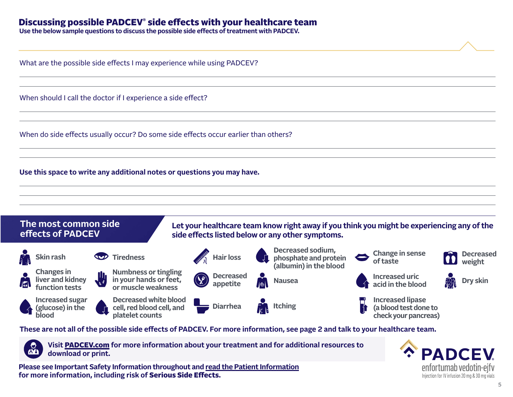# <span id="page-4-0"></span>Discussing possible PADCEV® side effects with your healthcare team

**Use the below sample questions to discuss the possible side effects of treatment with PADCEV.**

What are the possible side effects I may experience while using PADCEV?

When should I call the doctor if I experience a side effect?

When do side effects usually occur? Do some side effects occur earlier than others?

**Use this space to write any additional notes or questions you may have.**



**[These are not all of the possible side effects of PADCEV. For more information, see page 2 and talk to your healthcare team.](#page-5-0)**



**Visit** [PADCEV.com](http://PADCEV.com) **for more information about your treatment and for additional resources to download or print.**

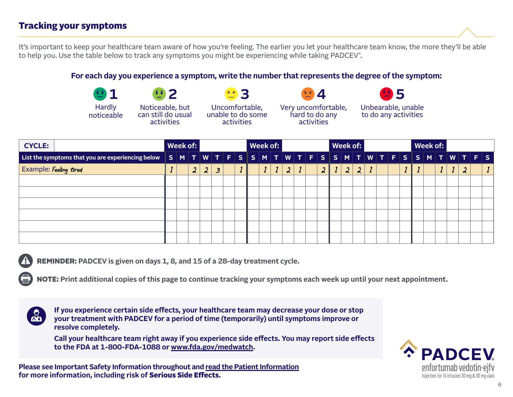# <span id="page-5-0"></span>Tracking your symptoms

[It's important to keep your healthcare team aware of how you're feeling. The earlier you let your healthcare team know, the more they'll be able](#page-6-0)  to help you. Use the table below to track any symptoms you might be experiencing while taking PADCEV® .

#### **For each day you experience a symptom, write the number that represents the degree of the symptom:**



**3** Uncomfortable, unable to do some activities

**4** Very uncomfortable, hard to do any activities



to do any activities

| <b>CYCLE:</b>                                                                             | Week of: |                  |                  |                |  | Week of: |  |  |                          |  |  |                  | Week of: |                |   |  |  | Week of: |  |  |  |  |  |
|-------------------------------------------------------------------------------------------|----------|------------------|------------------|----------------|--|----------|--|--|--------------------------|--|--|------------------|----------|----------------|---|--|--|----------|--|--|--|--|--|
| List the symptoms that you are experiencing below SMTWTFSSSMTUWTVTESSMTUWTFSSMTWTFSSMTWTF |          |                  |                  |                |  |          |  |  |                          |  |  |                  |          |                |   |  |  |          |  |  |  |  |  |
| Example: Feeling tired                                                                    |          | $\boldsymbol{2}$ | $\boldsymbol{2}$ | $\overline{3}$ |  |          |  |  | $\overline{\mathcal{L}}$ |  |  | $\boldsymbol{2}$ |          | $\mathfrak{L}$ | 2 |  |  |          |  |  |  |  |  |
|                                                                                           |          |                  |                  |                |  |          |  |  |                          |  |  |                  |          |                |   |  |  |          |  |  |  |  |  |
|                                                                                           |          |                  |                  |                |  |          |  |  |                          |  |  |                  |          |                |   |  |  |          |  |  |  |  |  |
|                                                                                           |          |                  |                  |                |  |          |  |  |                          |  |  |                  |          |                |   |  |  |          |  |  |  |  |  |
|                                                                                           |          |                  |                  |                |  |          |  |  |                          |  |  |                  |          |                |   |  |  |          |  |  |  |  |  |
|                                                                                           |          |                  |                  |                |  |          |  |  |                          |  |  |                  |          |                |   |  |  |          |  |  |  |  |  |
|                                                                                           |          |                  |                  |                |  |          |  |  |                          |  |  |                  |          |                |   |  |  |          |  |  |  |  |  |



REMINDER: **PADCEV is given on days 1, 8, and 15 of a 28-day treatment cycle.** 

NOTE: **Print additional copies of this page to continue tracking your symptoms each week up until your next appointment.**



**If you experience certain side effects, your healthcare team may decrease your dose or stop your treatment with PADCEV for a period of time (temporarily) until symptoms improve or resolve completely.**

**Call your healthcare team right away if you experience side effects. You may report side effects to the FDA at 1-800-FDA-1088 o[r www.fda.gov/medwatch.](http://www.fda.gov/medwatch)**



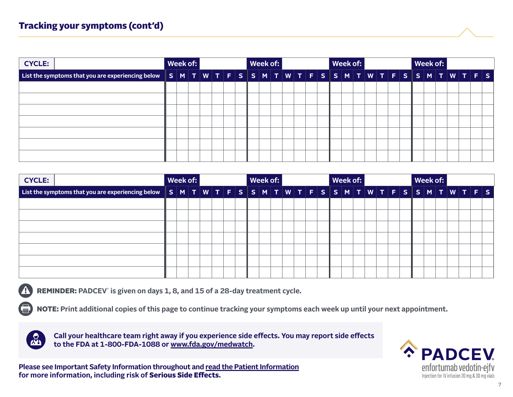# <span id="page-6-0"></span>Tracking your symptoms (cont'd)

| <b>CYCLE:</b>                                                                                                |  | Week of: |  |  | Week of: |  |  |  |  | Week of: |  |  |  |  |  | Week of: |  |  |
|--------------------------------------------------------------------------------------------------------------|--|----------|--|--|----------|--|--|--|--|----------|--|--|--|--|--|----------|--|--|
| List the symptoms that you are experiencing below $ S M T W T F S S M T W T F S S M T W T F S S M T W T F S$ |  |          |  |  |          |  |  |  |  |          |  |  |  |  |  |          |  |  |
|                                                                                                              |  |          |  |  |          |  |  |  |  |          |  |  |  |  |  |          |  |  |
|                                                                                                              |  |          |  |  |          |  |  |  |  |          |  |  |  |  |  |          |  |  |
|                                                                                                              |  |          |  |  |          |  |  |  |  |          |  |  |  |  |  |          |  |  |
|                                                                                                              |  |          |  |  |          |  |  |  |  |          |  |  |  |  |  |          |  |  |
|                                                                                                              |  |          |  |  |          |  |  |  |  |          |  |  |  |  |  |          |  |  |
|                                                                                                              |  |          |  |  |          |  |  |  |  |          |  |  |  |  |  |          |  |  |
|                                                                                                              |  |          |  |  |          |  |  |  |  |          |  |  |  |  |  |          |  |  |

| <b>CYCLE:</b>                                                                           | Week of: | Week of: |  |  |  |  |  |  |  | Week of: |  |  |  |  |  |  |  |  | Week of: |  |  |  |  |  |
|-----------------------------------------------------------------------------------------|----------|----------|--|--|--|--|--|--|--|----------|--|--|--|--|--|--|--|--|----------|--|--|--|--|--|
| List the symptoms that you are experiencing below SMTWTFSSMTWTWTFSSMTWTFSSMTWTFSSMTWTFS |          |          |  |  |  |  |  |  |  |          |  |  |  |  |  |  |  |  |          |  |  |  |  |  |
|                                                                                         |          |          |  |  |  |  |  |  |  |          |  |  |  |  |  |  |  |  |          |  |  |  |  |  |
|                                                                                         |          |          |  |  |  |  |  |  |  |          |  |  |  |  |  |  |  |  |          |  |  |  |  |  |
|                                                                                         |          |          |  |  |  |  |  |  |  |          |  |  |  |  |  |  |  |  |          |  |  |  |  |  |
|                                                                                         |          |          |  |  |  |  |  |  |  |          |  |  |  |  |  |  |  |  |          |  |  |  |  |  |
|                                                                                         |          |          |  |  |  |  |  |  |  |          |  |  |  |  |  |  |  |  |          |  |  |  |  |  |
|                                                                                         |          |          |  |  |  |  |  |  |  |          |  |  |  |  |  |  |  |  |          |  |  |  |  |  |
|                                                                                         |          |          |  |  |  |  |  |  |  |          |  |  |  |  |  |  |  |  |          |  |  |  |  |  |

REMINDER: **PADCEV**®  **is given on days 1, 8, and 15 of a 28-day treatment cycle.** 

NOTE: **[Print additional copies of this page to continue tracking your symptoms each week up until your next appointment.](#page-7-0)**



**Call your healthcare team right away if you experience side effects. You may report side effects to the FDA at 1-800-FDA-1088 [or www.fda.gov/medwatch.](http://www.fda.gov/medwatch)**

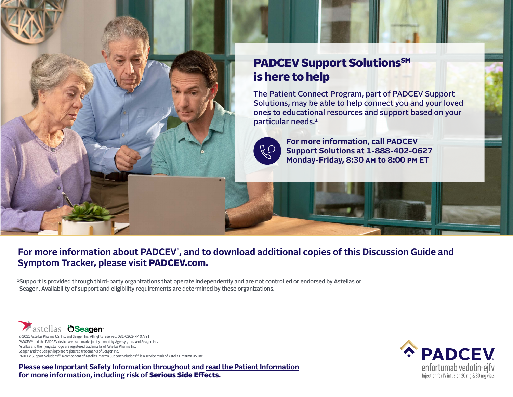<span id="page-7-0"></span>

# PADCEV Support Solutions<sup>SM</sup> is here to help

The Patient Connect Program, part of PADCEV Support Solutions, may be able to help connect you and your loved ones to educational resources and support based on your particular needs.<sup>1</sup>



**For more information, call PADCEV Support Solutions at 1-888-402-0627 Monday-Friday, 8:30 am to 8:00 pm ET**

# **For more information about PADCEV**® **[, and to download additional copies of this Discussion Guide and](#page-0-0)  Symptom Tracker, please visit** [PADCEV.com](http://PADCEV.com)**.**

1Support is provided through third-party organizations that operate independently and are not controlled or endorsed by Astellas or Seagen. Availability of support and eligibility requirements are determined by these organizations.



© 2021 Astellas Pharma US, Inc. and Seagen Inc. All rights reserved. 081-0363-PM 07/21 PADCEV® and the PADCEV device are trademarks jointly owned by Agensys, Inc., and Seagen Inc. Astellas and the flying star logo are registered trademarks of Astellas Pharma Inc. Seagen and the Seagen logo are registered trademarks of Seagen Inc. PADCEV Support Solutions<sup>SM</sup>, a component of Astellas Pharma Support Solutions<sup>SM</sup>, is a service mark of Astellas Pharma US, Inc.

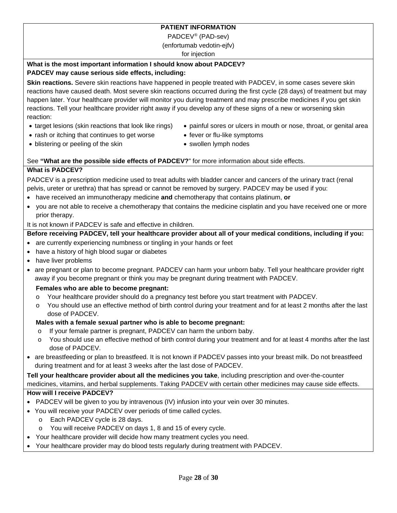### **PATIENT INFORMATION**

PADCEV® (PAD-sev)

(enfortumab vedotin-ejfv)

for injection

#### **What is the most important information I should know about PADCEV? PADCEV may cause serious side effects, including:**

**Skin reactions.** Severe skin reactions have happened in people treated with PADCEV, in some cases severe skin reactions have caused death. Most severe skin reactions occurred during the first cycle (28 days) of treatment but may happen later. Your healthcare provider will monitor you during treatment and may prescribe medicines if you get skin reactions. Tell your healthcare provider right away if you develop any of these signs of a new or worsening skin reaction:

- target lesions (skin reactions that look like rings)
- painful sores or ulcers in mouth or nose, throat, or genital area
- rash or itching that continues to get worse
- fever or flu-like symptoms

• blistering or peeling of the skin

• swollen lymph nodes

#### See **"What are the possible side effects of PADCEV?**" for more information about side effects.

#### **What is PADCEV?**

PADCEV is a prescription medicine used to treat adults with bladder cancer and cancers of the urinary tract (renal pelvis, ureter or urethra) that has spread or cannot be removed by surgery. PADCEV may be used if you:

- have received an immunotherapy medicine **and** chemotherapy that contains platinum, **or**
- you are not able to receive a chemotherapy that contains the medicine cisplatin and you have received one or more prior therapy.

It is not known if PADCEV is safe and effective in children.

### **Before receiving PADCEV, tell your healthcare provider about all of your medical conditions, including if you:**

- are currently experiencing numbness or tingling in your hands or feet
- have a history of high blood sugar or diabetes
- have liver problems
- are pregnant or plan to become pregnant. PADCEV can harm your unborn baby. Tell your healthcare provider right away if you become pregnant or think you may be pregnant during treatment with PADCEV.

#### **Females who are able to become pregnant:**

- o Your healthcare provider should do a pregnancy test before you start treatment with PADCEV.
- o You should use an effective method of birth control during your treatment and for at least 2 months after the last dose of PADCEV.

#### **Males with a female sexual partner who is able to become pregnant:**

- o If your female partner is pregnant, PADCEV can harm the unborn baby.
- o You should use an effective method of birth control during your treatment and for at least 4 months after the last dose of PADCEV.
- are breastfeeding or plan to breastfeed. It is not known if PADCEV passes into your breast milk. Do not breastfeed during treatment and for at least 3 weeks after the last dose of PADCEV.

**Tell your healthcare provider about all the medicines you take**, including prescription and over-the-counter medicines, vitamins, and herbal supplements. Taking PADCEV with certain other medicines may cause side effects.

#### **How will I receive PADCEV?**

- PADCEV will be given to you by intravenous (IV) infusion into your vein over 30 minutes.
- You will receive your PADCEV over periods of time called cycles.
	- o Each PADCEV cycle is 28 days.
	- o You will receive PADCEV on days 1, 8 and 15 of every cycle.
- Your healthcare provider will decide how many treatment cycles you need.
- Your healthcare provider may do blood tests regularly during treatment with PADCEV.